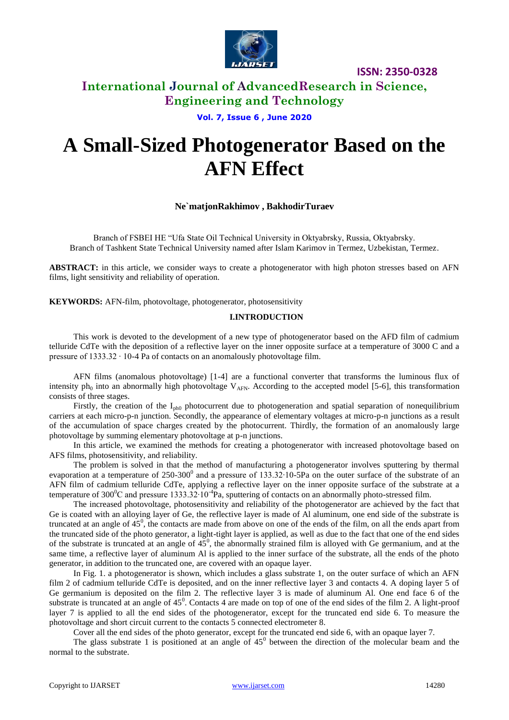

**ISSN: 2350-0328**

## **International Journal of AdvancedResearch in Science, Engineering and Technology**

**Vol. 7, Issue 6 , June 2020**

# **A Small-Sized Photogenerator Based on the AFN Effect**

### **Ne`matjonRakhimov , BakhodirTuraev**

Branch of FSBEI HE "Ufa State Oil Technical University in Oktyabrsky, Russia, Oktyabrsky. Branch of Tashkent State Technical University named after Islam Karimov in Termez, Uzbekistan, Termez.

**ABSTRACT:** in this article, we consider ways to create a photogenerator with high photon stresses based on AFN films, light sensitivity and reliability of operation.

**KEYWORDS:** AFN-film, photovoltage, photogenerator, photosensitivity

#### **I.INTRODUCTION**

This work is devoted to the development of a new type of photogenerator based on the AFD film of cadmium telluride CdTe with the deposition of a reflective layer on the inner opposite surface at a temperature of 3000 C and a pressure of 1333.32 ∙ 10-4 Pa of contacts on an anomalously photovoltage film.

AFN films (anomalous photovoltage) [1-4] are a functional converter that transforms the luminous flux of intensity ph<sub>0</sub> into an abnormally high photovoltage V<sub>AFN</sub>. According to the accepted model [5-6], this transformation consists of three stages.

Firstly, the creation of the I<sub>ph0</sub> photocurrent due to photogeneration and spatial separation of nonequilibrium carriers at each micro-p-n junction. Secondly, the appearance of elementary voltages at micro-p-n junctions as a result of the accumulation of space charges created by the photocurrent. Thirdly, the formation of an anomalously large photovoltage by summing elementary photovoltage at p-n junctions.

In this article, we examined the methods for creating a photogenerator with increased photovoltage based on AFS films, photosensitivity, and reliability.

The problem is solved in that the method of manufacturing a photogenerator involves sputtering by thermal evaporation at a temperature of 250-300<sup>0</sup> and a pressure of 133.32∙10-5Pa on the outer surface of the substrate of an AFN film of cadmium telluride CdTe, applying a reflective layer on the inner opposite surface of the substrate at a temperature of 300<sup>0</sup>C and pressure 1333.32⋅10<sup>-4</sup>Pa, sputtering of contacts on an abnormally photo-stressed film.

The increased photovoltage, photosensitivity and reliability of the photogenerator are achieved by the fact that Ge is coated with an alloying layer of Ge, the reflective layer is made of Al aluminum, one end side of the substrate is truncated at an angle of  $45^0$ , the contacts are made from above on one of the ends of the film, on all the ends apart from the truncated side of the photo generator, a light-tight layer is applied, as well as due to the fact that one of the end sides of the substrate is truncated at an angle of  $45^\circ$ , the abnormally strained film is alloyed with Ge germanium, and at the same time, a reflective layer of aluminum Al is applied to the inner surface of the substrate, all the ends of the photo generator, in addition to the truncated one, are covered with an opaque layer.

In Fig. 1. a photogenerator is shown, which includes a glass substrate 1, on the outer surface of which an AFN film 2 of cadmium telluride CdTe is deposited, and on the inner reflective layer 3 and contacts 4. A doping layer 5 of Ge germanium is deposited on the film 2. The reflective layer 3 is made of aluminum Al. One end face 6 of the substrate is truncated at an angle of  $45^\circ$ . Contacts 4 are made on top of one of the end sides of the film 2. A light-proof layer 7 is applied to all the end sides of the photogenerator, except for the truncated end side 6. To measure the photovoltage and short circuit current to the contacts 5 connected electrometer 8.

Cover all the end sides of the photo generator, except for the truncated end side 6, with an opaque layer 7.

The glass substrate 1 is positioned at an angle of  $45^{\circ}$  between the direction of the molecular beam and the normal to the substrate.